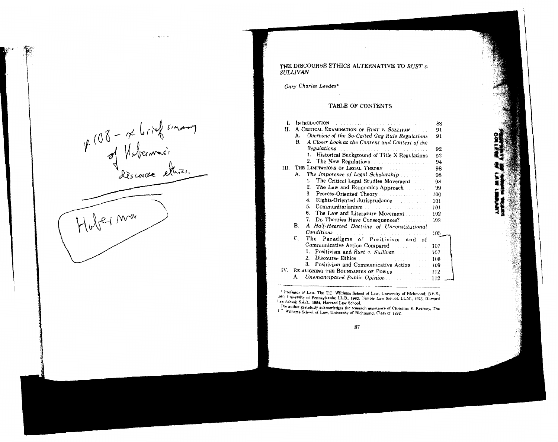$W(08 - x \text{ black sum})$ <br>of Nationnais Hober man

#### THE DISCOURSE ETHICS ALTERNATIVE TO RUST  $v$ . **SULLIVAN**

Gary Charles Leedes\*

#### TABLE OF CONTENTS

| 1.   |                                                       | 88  |
|------|-------------------------------------------------------|-----|
| Ħ.   | A CRITICAL EXAMINATION OF RUST V. SULLIVAN            | 91  |
|      | Overview of the So-Called Gag Rule Regulations<br>А.  | 91  |
|      | A Closer Look at the Content and Context of the<br>В. |     |
|      |                                                       | 92  |
|      | Historical Background of Title X Regulations<br>1.    | 92  |
|      | 2. The New Regulations                                | 94  |
| III. | THE LIMITATIONS OF LEGAL THEORY                       | 98  |
|      | The Impotence of Legal Scholarship<br>А.              | 98  |
|      | The Critical Legal Studies Movement<br>1.             | 98  |
|      | 2.<br>The Law and Economics Approach                  | 99  |
|      | 3.<br>Process-Oriented Theory                         | 100 |
|      | Rights-Oriented Jurisprudence<br>4.                   | 101 |
|      | 5.<br>Communitarianism                                | 101 |
|      | 6.<br>The Law and Literature Movement                 | 102 |
|      | 7.<br>Do Theories Have Consequences?                  | 103 |
|      | B.<br>A Half-Hearted Doctrine of Unconstitutional     |     |
|      |                                                       | 105 |
|      | C.<br>The<br>Paradigms of Positivism and of           |     |
|      | Communicative Action Compared                         | 107 |
|      | 1.<br>Positivism and Rust v. Sullivan                 | 107 |
|      | 2.                                                    | 108 |
|      | 3.<br>Positivism and Communicative Action             | 109 |
| IV.  | RE-ALIGNING THE BOUNDARIES OF POWER                   | 112 |
|      | Unemancipated Public Opinion<br>А.                    | 112 |
|      |                                                       |     |

\* Professor of Law, The T.C. Williams School of Law, University of Richmond; B.S.E., 1960, University of Pennsylvania; LL.B., 1962, Temple Law School; LL.M., 1973, Harvard Law School; S.J.D., 1984, Harvard Law School.

The author gratefully acknowledges the research assistance of Christina E. Kearney, The 1 C Williams School of Law, University of Richmond, Class of 1992.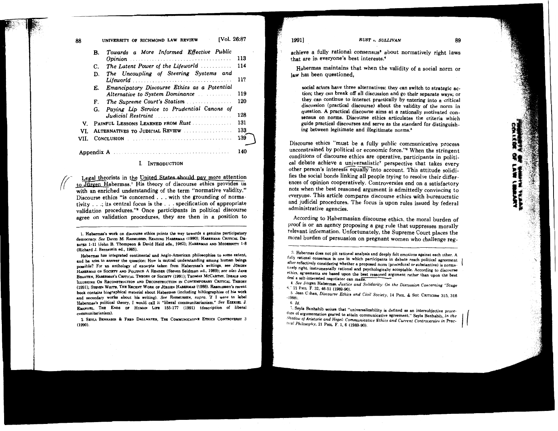| ١R   | TV01. 26:87<br>UNIVERSITY OF RICHMOND LAW REVIEW |                                              |     |
|------|--------------------------------------------------|----------------------------------------------|-----|
|      | В.                                               | Towards a More Informed Effective Public     |     |
|      |                                                  |                                              | 113 |
|      | C.                                               | The Latent Power of the Lifeworld            | 114 |
|      | D.                                               | The Uncoupling of Steering Systems and       |     |
|      |                                                  | Lifeworld                                    | 117 |
|      | Е.                                               | Emancipatory Discourse Ethics as a Potential |     |
|      |                                                  | Alternative to System Dominance              | 119 |
|      | F.                                               | The Supreme Court's Statism                  | 120 |
|      | G.                                               | Paying Lip Service to Prudential Canons of   |     |
|      |                                                  | Judicial Restraint                           | 128 |
| V.   |                                                  | PAINFUL LESSONS LEARNED FROM Rust            | 131 |
| VI.  | ALTERNATIVES TO JUDICIAL REVIEW                  |                                              | 133 |
| VII. |                                                  |                                              | 139 |
|      |                                                  |                                              |     |
|      |                                                  |                                              | 140 |
|      |                                                  |                                              |     |

#### **I. INTRODUCTION**

Legal theorists in the United States should pay more attention to Jürgen Habermas.<sup>1</sup> His theory of discourse ethics provides us with an enriched understanding of the term "normative validity." Discourse ethics "is concerned . . . with the grounding of normativity . . .; its central focus is the . . . specification of appropriate validation procedures."<sup>2</sup> Once participants in political discourse agree on validation procedures, they are then in a position to

1. Habermas's work on discourse ethics points the way towards a genuine participatory democracy. See DAVID M. RASMUSSEN, READING HABERMAS (1990); HABERMAS: CRITICAL DE-BATES 1-11 (John B. Thompson & David Held eds., 1982); HABERMAS AND MODERNITY 1-8 (Richard J. Bernstein ed., 1985).

Habermas has integrated continental and Anglo-American philosophies to some extent, and he tries to answer the question: How is mutual understanding among human beings possible? For an anthology of excerpts taken from Habermas's writings, see JURGEN HABERMAS ON SOCIETY AND POLITICS: A READER (Steven Seidman ed., 1989); see also JANE BRAATEN, HABERMAS'S CRITICAL THEORY OF SOCIETY (1991); THOMAS MCCARTHY, IDEALS AND ILLUSIONS: ON RECONSTRUCTION AND DECONSTRUCTION IN CONTEMPORARY CRITICAL THEORY (1991); STEVEN WHITE, THE RECENT WORK OF JÜRGEN HABERMAS (1988). Rasmussen's recent book contains biographical material about Habermas (including bibliographies of his work and secondary works about his writing). See RASMUSSEN, supra. If I were to label Habermas's political theory, I would call it "liberal communitarianism." See EZEKIEL J. EMANUEL, THE ENDS OF HUMAN LIFE 155-177 (1991) (description of liberal communitarianism).

2. SEYLA BENHABIB & FRED DALLMAYER, THE COMMUNICATIVE ETHICS CONTROVERSY 3  $(1990)$ 

19911

**RUST** v. SULLIVAN achieve a fully rational consensus<sup>3</sup> about normatively right laws that are in everyone's best interests.<sup>4</sup>

Habermas maintains that when the validity of a social norm or law has been questioned.

ancial actors have three alternatives: they can switch to strategic action; they can break off all discussion and go their separate ways: or they can continue to interact practically by entering into a critical discussion (practical discourse) about the validity of the norm in question. A practical discourse aims at a rationally motivated consensus on norms. Discourse ethics articulates the criteria which guide practical discourses and serve as the standard for distinguishing between legitimate and illegitimate norms.<sup>8</sup>

Discourse ethics "must be a fully public communicative process unconstrained by political or economic force."<sup>6</sup> When the stringent conditions of discourse ethics are operative, participants in political debate achieve a universalistic<sup>7</sup> perspective that takes every other person's interests equally into account. This attitude solidifies the social bonds linking all people trying to resolve their differences of opinion cooperatively. Controversies end on a satisfactory note when the best reasoned argument is admittedly convincing to evervone. This article compares discourse ethics with bureaucratic and judicial procedures. The focus is upon rules issued by federal administrative agencies.

According to Habermasian discourse ethics, the moral burden of proof is on an agency proposing a gag rule that suppresses morally relevant information. Unfortunately, the Supreme Court places the moral burden of persuasion on pregnant women who challenge reg-

5. Jean Cohen, Discourse Ethics and Civil Society, 14 PHIL. & Soc. CRITICISM 315, 316  $(1988)$ .  $6.$  Id

7. Seyla Benhabib writes that "universalizability is defined as an intersubjective procedure of argumentation geared to attain communicative agreement." Seyla Benhabib, In the Shadow of Aristotle and Hegel: Communicative Ethics and Current Controversies in Practreal Philosophy, 21 PHIL F. 1, 6 (1989-90).

<sup>3.</sup> Habermas does not pit rational analysis and deeply felt emotions against each other. A fully rational consensus is one in which participants in debate reach political agreement after reflectively considering whether a proposed norm (procedural or substantive) is normatively right, instrumentally rational and psychologically acceptable. According to discourse ethics, agreements are based upon the best reasoned argument rather than upon the best deal a selt-interested negotiator can make.

<sup>4.</sup> See Jitgen Habermas, Justice and Solidarity: On the Discussion Concerning "Stage 5. 21 Рнц. Г. 32, 46-51 (1989-90).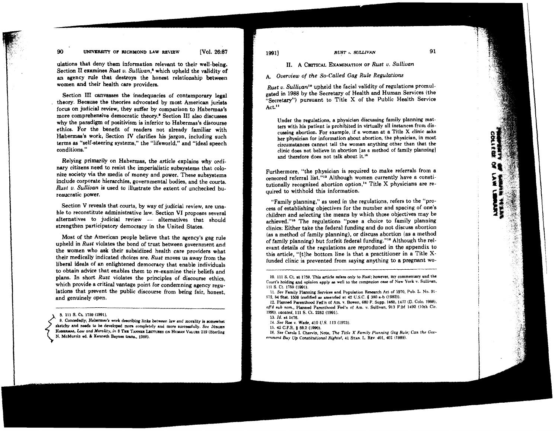#### 90 **UNIVERSITY OF RICHMOND LAW REVIEW [Vol. 26:87**

ulations that deny them information relevant to their well-being. Section **I1** examines *Ruat v. Sullivan,'* which upheld the validity of an agency rule that destroys the honest relationship between women and their health care providers.

Section **III** canvasses the inadequacies of contemporary legal . theory. Because the theories advocated by most American jurists focus on judicial review, they suffer by comparison to Habermas's more comprehensive democratic theory.\* Section **111** also discusses why the paradigm of positivism is inferior to Habermas's discourse ethics. For the benefit of readers not already familiar with Habermas's work, Section **IV** clarifies his jargon, including such terms as "self-steering systems," the "lifeworld," and "ideal speech conditions."

Relying primarily on Habermas, the article explains why ordinary citizens need to resist the imperialistic subsystems that colonize society via the media of money and power. These subsystems include corporate hierarchies, governmental bodies, and the courts. *Rust v. Sullivan* is used *to* illustrate the extent of unchecked bureaucratic power.

Section V reveals that courts, by way of judicial review, are una-Section V reveals that courts, by way of judicial review, are unable to reconstitute administrative law. Section VI proposes several alternatives to judicial review - alternatives that should strengthen participatory democracy in the United States.

Most of the American people believe that the agency's gag rule upheld in *Rust* violates the bond of trust between government and the women who ask their subsidized health care providers what their medically indicated choices are. *Rust* moves us away from the liberal ideals of an enlightened democracy that enable individuals to obtain advice that enables them to re-examine their beliefs and plans. In short *Rust* violates the principles of discourse ethics, which provide a critical vantage point for condemning agency regulations that prevent the public discourse from being fair, honest, and genuinely open.

**8. I11 9. Ct 1769 (1991).** 

**9. Concededly, Habsmaa'a work describing linb betwaen law and morality is aomwhat sketchy** and **needs** to be developed more completely and more successfully. See JOROEN **HABERMAS, Law and Morality, in 8 THE TANNER LECTURES ON HUMAN VALUES 219 (Sterling** N. McMurrin ed. & Kenneth Baynes trans.. 1988).

#### **11.** A **CRITICAL** EXAMINATION OP *Rust U. Sullivan*

A. *Overview* of *the So-called Gag Rule Regulations* 

*Rust v. Sullivan*<sup>10</sup> upheld the facial validity of regulations promulgated in **1988** by the Secretary of Health and Human Services (the "Secretary") pursuant to Title X of the Public Health Service Act.<sup>11</sup>

Under the regulations, a phyaician discussing family planning matters with his patient is prohibited in virtually all instances from discuaaing abortion. For example, if a woman at a Title X clinic **esks**  her physician for information about abortion, the physician, in most circumstances cannot tell the woman anything other than that the clinic does not believe in abortion [as a method of family planning] and therefore does not talk about it.<sup>12</sup>

Furthermore, "the physician is required to make referrals from a censored referral list."<sup>13</sup> Although women currently have a constitutionally recognized abortion option," Title X physicians are required to withhold this information.

"Family planning," as used in the regulations, refers to the "process of esteblishing objectives for the number and spacing of one's children and selecting the means by which those objectives may be achieved."<sup>15</sup> The regulations "pose a choice to family planning clinics: Either take the federal funding and do not discuss abortion (as a method of family planning), or discuss abortion (as a method of family planning) but forfeit federal funding."<sup>18</sup> Although the relevant details of the regulations are reproduced in the appendix to this article, "[tlhe bottom line is that a practitioner in a Title Xfunded clinic is prevented from saying anything to a pregnant wo-

**13. Id. st 1476.** 

- 
- **16. See Carole 1. Chewin, Note, The Title X Family Planning Gag Rule; Can the COW**  ernment Buy Up Constitutional Rights?, 41 STAN. L. Rev. 401, 402 (1989).

**<sup>10. 111</sup> S. Ct. at 1759. This article refers only** to **Ruat; however, my commen(nry and the Court's holding and opinion apply sa well to the companion case of New York v. Sullivan, 111 S. Ct. 1769 (1991).** 

**<sup>11.</sup> See Family Planning Servieea and Population Reaearch Act of 1970. Pub. L. No. 91- 572. 84 Stat. 1508 lcalified aa amended at 42 U.S.C. 5 300 a-b (1982)).** 

**<sup>12.</sup> Planned Parenthood Fd'n of Am. v. Bowen, 680 F. Supp. 1465, 1477 (D. Cob. 19W,**  off'd sub nom., Planned Parenthood Fed'n of Am. v. Sullivan. 913 F.2d 1492 (10th Cir. **1990), uocated, 111 S. Ct. 2262 (1991).** 

**<sup>14.</sup> See Roe v. Wade. 410 U.S. 113 (1973). 15. 42 C.F.R.** ! **69.2 (1090).**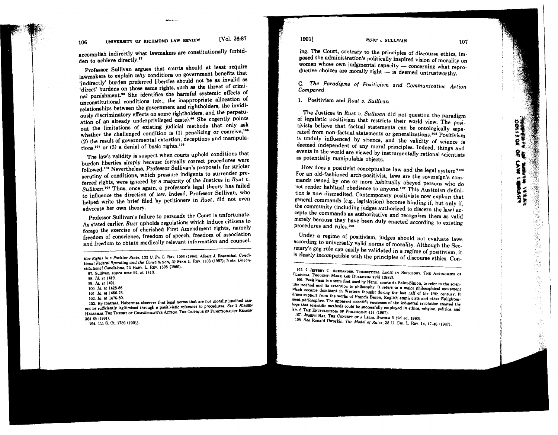accomplish indirectly what lawmakers are constitutionally forbid-

den to achieve directly."<br>Professor Sullivan argues that courts should at least require lawmakers to explain  $why$  conditions on government benefits that 'indirectly' burden preferred liberties should not be as invalid as 'direct' burdens on those same rights, such as the threat of criminal punishment.<sup>90</sup> She identifies the harmful systemic effects of unconstitutional conditions ( $viz$ ., the inappropriate allocation of relationships between the government and rightholders, the invidiously discriminatory effects on some rightholders, and the perpetuation of an already underprivileged caste).<sup>99</sup> She cogently points out the limitations of existing judicial methods that only ask whether the challenged condition is  $(1)$  penalizing or coercive,<sup>100</sup> whether the challenged condition is (1) penalizing or coercive, (2) the result of governmental extortion, deceptions and manipular-

tions,<sup>161</sup> or (3) a denial of basic rights.<sup>162</sup><br>The law's validity is suspect when courts uphold conditions that burden liberties simply because formally correct procedures were followed.<sup>108</sup> Nevertheless, Professor Sullivan's proposals for stricter scrutiny of conditions, which pressure indigents to surrender preferred rights, were ignored by a majority of the Justices in Rust  $v$ . Sullivan.<sup>104</sup> Thus, once again, a professor's legal theory has failed to influence the direction of law. Indeed, Professor Sullivan, who to influence the direction of law. Indeed, Professor Sullivan, who helped write the brief filed by petitioners in Rust, did not even

advocate her own theory.<br>Professor Sullivan's failure to persuade the Court is unfortunate. Professor Sullivan's failure to persuade the Court is unfortunate. As stated earlier, Rust upholds regulations which induce citizens to forego the exercise of cherished First Amendment rights, namely freedom of conscience, freedom of speech, freedom of association and freedom to obtain medically relevant information and counsel-

103. By contrast, Habermas observes that legal norms that are not morally justified cannot be sufficiently legitimized through a positivistic reference to procedures. See 2 JURGEN not be aufficiently legitimized through a poaitivistic reference to procedurea. See 2 January 2014.<br>HABERMAS, THE THEORY OF COMMUNICATIVE ACTION: THE CRITIQUE OF FUNCTIONALIBT REABON

104, 111 S. Ct. 1759 (1991).

19911

#### RUST v. SULLIVAN

ing. The Court, contrary **to** the principles of discourse ethics, imposed the administration's politically inspired vision of morality on ing. The Court, contrary to the principles of discourse ethics, im-<br>posed the administration's politically inspired vision of morality on<br>women whose own judgmental capacity — concerning what repro-<br>dusting abouting about posed the administration's politically inspired vision of morality<br>women whose own judgmental capacity — concerning what rep<br>ductive choices are morally right — is deemed untrustworthy.

C. The Paradigms of Positivism and Communicative Action Compared

**1.** Positivism and Rust u. Sullivan

The Justices in Rust v. Sullivan did not question the paradigm of legalistic positivism that restricts their world view. The positivists believe that factual statements can be ontologically separated from non-factual statements or generalizations.<sup>108</sup> Positivism is unduly influenced by science, and the validity of science is deemed independent of any moral principles. Indeed, things and events in the world are viewed by instrumentally rational scientists as potentially manipulable objects.

How does a positivist conceptualize law and the legal system?<sup>106</sup> For an old-fashioned arch-positivist, laws are the sovereign's commands issued by one or more habitually obeyed persons who do not render habitual obedience to anyone.<sup>107</sup> This Austinian definition is now discredited. Contemporary positivists now explain that general commands (e.g., legislation) become binding if, but only if, the community (including judges authorized to discern the law) accepts the commands as authoritative and recognizes them as valid merely because they have been duly enacted according to existing procedures and rules.<sup>108</sup>

Under a regime of positivism, judges should not evalcate laws according to universally valid norms of morality. Although the Secretary's gag rule can easily be validated in a regime of positivism, it is clearly incompatible with the principles of discourse ethics. Con-

tive Rights in a Positive State, 132 O. P.A. L. REV. 1233 (1368), Albert of Robertinan Same.<br>tional Federal Spending and the Constitution, 39 STAN. L. REV. 1103 (1987); Note, Uncon**stitutio~l** ... ~~~ **Condilionr. 13 Hmv. L. REV. 1596 (1980). 91. Sullivan, supra note 92. at <sup>1413</sup>**

**<sup>98.</sup> Id. rt 1419.** 

**<sup>99.</sup> Id. at 1491.** 

**<sup>100.</sup> Id. at 1428-68.** 

**<sup>101.</sup> Id. at 1456-76.** 

<sup>105. 2</sup> JEFFREY C. ALEXANDER, THEORETICAL LOGIC IN SOCIOLOGY. THE ANTINOMIES OF CLASSICAL THOUGHT: MARX AND DURKHEIM xviii (1982).

<sup>106.</sup> Positiviam is a term first used by Henri, comte de Saint-Simon, to refer to the scientific method and its extension to philosophy. It refers to a major philosophical movement which became dominant in Western thought during the last half of the 19th century. It also a major process to a major philosophical movement draws support from the works of Francis Bacon, English empiricists and other Enlightenment philosophes. The apparent scientific successes of the industrial revolution created the **hope &at scientific methoda muld be sucesssfully employed in ethica, religion, politics, and**   $\frac{1}{6}$  **W. 6 THE ENCYCLOPEDIA OF PHILOSOPHY 414 (1967).** 

<sup>107.</sup> **JOSEPH RAZ. THE CONCEPT OF A LEGAL SYSTEM 5 (2d ed. 1980).** 

**<sup>10%</sup> See Ronald Dworkin, The Model o/ Rules, 35 U. CHI. L.** REV **14, 17-46 (1967).**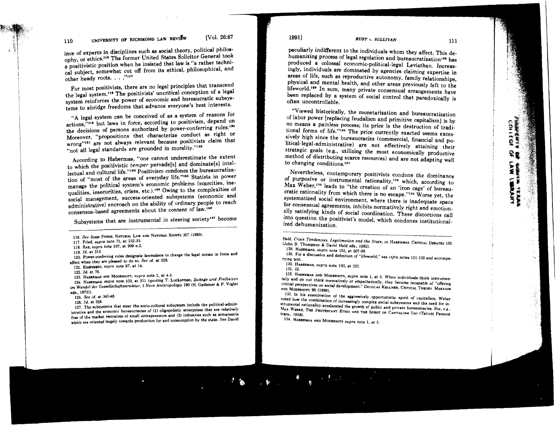# **110 UNIVERSITY OF RICHMOND LAW REVIEW**  [Vo]. 26:87 **1991** *RUST . SULLIVAN*

ince of experts in disciplines such **as** social theory, political philosophy, or ethics.<sup>116</sup> The former United States Solicitor General took a positivistic position when he insisted that law is "a rather technical subject, somewhat cut off from its ethical, philosophical, and other heady roots. . . ."117

For most positivists, there are no legal principles that transcend the legal system.<sup>118</sup> The positivists' uncritical conception of a legal system reinforces the power of economic and bureaucratic subsystems to abridge freedoms that advance everyone's best interests.

"A legal system can be conceived of as a system of reasons for actions,"11s but laws in force, according to positivism, depend on the decisions of persons authorized by power-conferring rules.<sup>130</sup> Moreover, "propositions that characterize conduct as right or wrong"<sup>121</sup> are not always relevant because positivists claim that "not all legal standards are grounded in morality."123

According to Habermas, "one cannot underestimate the extent to which the positivistic temper pervade[s] and dominate[s] intellectual and cultural life."193 Positivism condones the bureaucratization of "most of the areas of everyday life."<sup>134</sup> Statists in power<br>manage the political system's economic problems (scarcities, inemanage the political system's economic problems (scarcities, inc.) qualities, insecurities, crises, etc.). Uwing to the complexities of social management, success-oriented subsystems (economic and administrative) encroach on the ability of ordinary people to reach consensus-based agreements about the content of law.<sup>126</sup>

Subsystems that are instrumental in steering society<sup>127</sup> become

119. Id. at 212. 120. Power-conferring rules designate lawmakers to change the legal norms in force and effect when they are pleased to do so. See id. at 228.

121. EISBNBBRG. supra note 87, at 14.

122. Id. at 76.<br>123. HABERMAS AND MODERNITY, supra note 1, at 4-5.

124. HABERMAB, supra note 103, at 311 (quoting T. Luckerman, Zwänge und Freiheiten 124. HABERMAB, supra note 103, at 311 (quoting T. Luckerman, Zwllnge und Freiheifen im Wandel der Ce8selbchaftssfruktur. 3 Neve Anfhropologie **1W)** (H. Gadamer & P. Vogler eds.. 1972)).

125. See id. at 343-48.<br>126. *Id.* at 326.

127. The subsystems that steer the socio-cultural subsystem include the political-administrative and the economic bureaucracies of (1) oligopolistic enterprises that are relatively free of the market restraints of small entrepreneurs and (2) industries such as armaments free of the market restraints of amall entrepreneurs and (2) industries such **as** armamente which are oriented largely towards production for and consumption by the state. See David

peculiarly indifferent to the individuals whom they affect. This dehumanizing process of legal regulation and bureaucratization<sup>198</sup> has produced a colossal economic-political-legal Leviathan. Increasingly, individuals are dominated by agencies claiming expertise in areas of life, such as reproductive autonomy, family relationships, physical and mental health, and other areas previously left to the lifeworld.<sup>139</sup> In sum, many private consensual arrangements have been replaced by a system of social control that paradoxically is often uncontrollable.

"Viewed historically, the monetarization and bureaucratization of labor power [replacing feudalism and primitive capitalism] is by no means a painless process; its price is the destruction of traditional forms of life."180 The price currently exacted seems excessively high since the bureaucracies (commercial, financial and political-legal-administrative) are not effectively attaining their strategic goals (e.g., utilizing the most economically productive method of distributing scarce resources) and are not adapting well to changing conditions.13'

Nevertheless, contemporary positivists condone the dominance of purposive or instrumental rationality,<sup>132</sup> which, according to Max Weber,<sup>133</sup> leads to "the creation of an 'iron cage' of bureaucratic rationality from which there is no escape."<sup>134</sup> Worse yet, the systematized social environment, where there is inadequate space for consensual agreements, inhibits normatively right and emotionally satisfying kinds of social coordination. These distortions call into question the positivist's model, which condones institutionalized dehumanization.

- 
- 

132. HABERMAS AND MODERNITY, supra note 1, at 5. When individuals think instrumentally and do not think normatively or empathetically, they become incapable of "offering critical perspectives on social development." Douglas KELLNER, CRITICAL THEORY. MARXISM

133. In his examination of the aggressively opportunistic spirit of capitalism. Weber noted how the combination of increasingly complex social subsystems and the need for inslrumental rationality accelerated the growth of public and private bureaucraciea. See, e **g** . MAX WEBER, THE PROTESTANT ETHIC AND THE SPIRIT OF CAPITALISM I(e) (Talcott Parsons transl)

134. HABERMAS AND MODERNITY supra note 1, at 5.

**こまを変更** Ť **SYCHER THAN** 

<sup>116.</sup> See JOHN FINNIS, NATURAL LAW AND NATURAL RIGHTS 357 (1980).

<sup>117.</sup> Fried, supra note 71, at 332-33.

<sup>118.</sup> RAz, supra note 107, at 209 n.2. **119.** Id. at 212.

Held, Crisis Tendencies, Legitimation and the State, in HABERMAS: CRITICAL DEBATES 181 (John **B.** Thompson & David Held eda.. 1982). 128. HABERMAS, supra note 103, at 307-09.

<sup>129.</sup> For a discussion and definition of "lifeworld," see  $infra$  notes 151-159 and accompa-<br>nying text. 130. HABERMAS, supra note 103, at 321. 131.  $Id$ .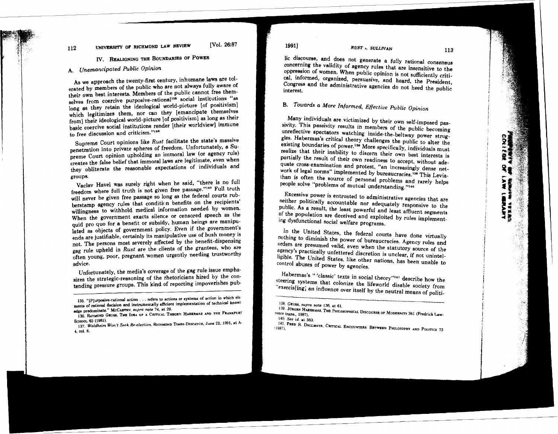# **112** UNIVERSITY OF RICHMOND LAW REVIEW [Vol. 26:87 *RUST v. SULLIVAN*

# **IV. REALIGNING THE BOUNDARIES OF POWER**

# A. Unemancipated Public Opinion

As we approach the twenty-first century, inhumane laws are tolerated by members of the public who are not always fully aware of their own best interests. Members of the public cannot free themselves from coercive purposive-rational<sup>135</sup> social institutions "as long as they retain the ideological world-picture [of positivism] which legitimizes them, nor can they lemancipate themselves from] their ideological world-picture [of positivism] as long as their  $[from]$  their ideological world-picture [or positivism] as long as their basic coercive social institutions render [their worldview] immune to free discussion and criticism."<sup>186</sup><br>Supreme Court opinions like Rust facilitate the state's massive

nenetration into private spheres of freedom. Unfortunately, a Supreme Court opinion upholding an immoral law (or agency rule) creates the false belief that immoral laws are legitimate, even when creates the false belief that immoral laws are registerated, even where they obliterate the reasonable expectations of individuals end-

groups.<br>Vaclay Havel was surely right when he said, "there is no full freedom where full truth is not given free passage."<sup>137</sup> Full truth will never be given free passage so long as the federal courts rubberstamp agency rules that condition benefits on the recipients' willingness to withhold medical information needed by women. When the government exacts silence or censored speech as the quid pro quo for a benefit or subsidy, human beings are manipulated as objects of government policy. Even if the government's ends are justifiable, certainly its manipulative use of hush monev is not. The persons most severely affected by the benefit-dispensing gag rule upheld in Rust are the clients of the grantees, who are gag rule upheld in Rust are the clients of the grantees, who are often young, poor, pregnant women urgently needing trustworthy

advice.<br>Unfortunately, the media's coverage of the gag rule issue emphasizes the strategic-reasoning of the rhetoricians hired by the consizes the strategic-reasoning of the rhetoricians filed by the contending pressure groups. This kind of reporting impoverishes pub-

lic discourse, and does not generate a fully rational consensus concerning the validity of agency rules that are insensitive to the oppression of women. When public opinion is not sufficiently critical, informed, organized, persuasive, and heard, the President, Congress and the administrative agencies do not heed the public interest.

# **B.** Towards a More Informed, Effective Public Opinion

Many individuals are victimized by their own self-imposed passivity. This passivity results in members of the public becoming unreflective spectators watching inside-the-beltway power struggles. Habermas's critical theory challenges the public to alter the existing boundaries of power.<sup>138</sup> More specifically, individuals must realize that their inability to discern their own best interests is partially the result of their own readiness to accept, without adequate cross-examination and protest. "an increasingly dense network of legal norms" implemented by bureaucracies.<sup>756</sup> This Leviathan is often the source of personal problems and rarely helps people solve "problems of mutual understanding."140

Excessive power is entrusted to administrative agencies that are neither politically accountable nor adequately responsive to the public. As a result, the least powerful and least affluent segments of the population are deceived and exploited by rules implementing dysfunctional social welfare programs.

In the United States, the federal courts have done virtually nothing to diminish the power of bureaucracies. Agency rules and orders are presumed valid, even when the statutory source of the agency's practically unfettered discretion is unclear, if not unintelligible. The United States, like other nations, has been unable to control abuses of power by agencies.

Habermas's " 'classic' texts in social theory"14' describe how the steering systems that colonize the lifeworld disable society from "exercis[ing] an influence over itself by the neutral means of politi-

**<sup>135. &</sup>quot;(P]urposive-rational action** . . . **refers to actions or systema of action in which ele**ments of rational decision and instrumentally efficient implementation of technical knowledge predominate." McCarruy, *supra* note 74, at 29.

**ddge predominate." MCCARTHY,** *aupra* **note 74, at 29.<br>136. RAYMOND GEUBS, THE IDEA OF A CRITICAL THEORY: HABERMAS AND THE FRANKFURT <b>AND** 

**SCHOOL 60 (1981). 137.** *Wddheim Won't Seek Re-election.* **RICHMOND TIM&.-DISPATCH, June 22, 1991,** st **A-**4, **ml. 6.** 

<sup>138.</sup> GEUSS, supra note 136, at 61.

**Lag. JURGEN HABERMAS, THE PHILOSOPHICAL DISCOURSE OF MODERNITY 361 (Fredrick Law-**<br><sup>tence</sup> trans., 1987). **140.** See **id.** st **363.** 

**DALLY FRED R. DALLMAYR, CRITICAL ENCOUNTERS: BETWEEN PHILOSOPHY AND POLITICS 73<sup>1</sup><sup>9</sup>**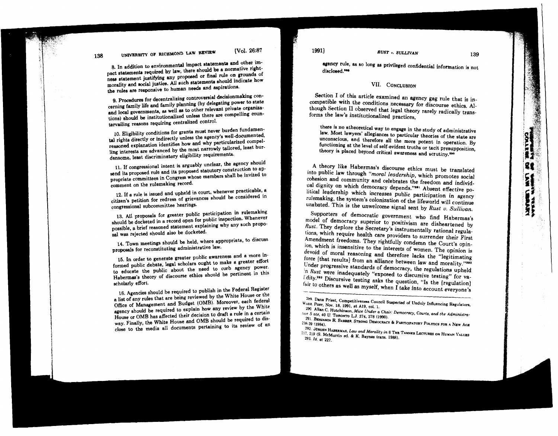# UNIVERSITY OF RICHMOND LAW REVIEW

138

[Vol. 26:87

8. In addition to environmental impact statements and other im-<br>pact statements required by law, there should be a normative rightpact statement justifying any proposed or final rule on grounds of ness statement justifying any proposed or final should indicate how<br>morality and social justice. All such statements should indicate how the rules are responsive to human needs and aspirations.

cerning family life and family planning (by delegating power to state and local governments, as well as to other relevant private organizaand local governments, as well as to other relevant private organizations) should be institutionalized unlees there are compelling **coun-**

tervailing reasons requiring centralized control.<br>10. Eligibility conditions for grants must never burden fundamen-10. Eligibility conditions for grants must never burnertal rights directly or indirectly unless the agency's understanding compelreasoned explanation identifies how and why particular competenced. least bur- $\lim_{n \to \infty}$  interests are advanced by the most narrowly terms.

densome, least discriminatory eligibility requirements.<br>11. If congressional intent is arguably unclear, the agency should 11. 11. 11. 11. If congressed its proposed statutory construction to apsend its proposed rule and its proposed statutory construction applies invited to propriate committees in Congress whose members shall be in comment on the rulemaking record.

12. If a rule is issued and upheld in court, whenever practicable, a citizen's petition for redress of grievances should be considered

congressional subcommittee hearings.<br>13. All proposals for greater public participation in rulemaking should be docketed in a record open for public inspection. Whenever should be docketed in a record open for public dispersion. Whenever possible, a brief reasoned statement explaining why any such proposition sal was rejected should also be docketed.

14. Town meetings should be held, where appropriate, to discuss proposals for reconstituting administrative law.

**15.** In order **to** generate greater public awareness and a more informed public debate, legal scholars ought to make a greater effort **to** educate the public about the need to curb agency Power. Habermas's theory of discourse ethics should be pertinent in this

scholarly effort.<br>16. Agencies should be required to publish in the Federal Register a list of any rules that are being reviewed by the White House or the Office of Management and Budget (OMB). Moreover, each federal agency should be required to explain how any review by the White House or OMB has affected their decision to draft a rule in a certain way. Finally, the White House and OMB should be required to disway. Finally, the White House and OMB should be required of an close to the media all documents pertaining to  $\infty$  for  $\infty$ . agency rule, as so long as privileged confidential information is not diaclosed.<sup>\*\*\*</sup>

### VII. CONCLUSION

Section **I** of this article examined an agency gag rule that is incompatible with the conditions necessary for discourse ethics. Although Section 11 observed that legal theory rarely radically transforms the law's institutionalized practices,

there is no atheoretical way to engage in the study of administrative law. Most lawyers' allegiances to particular theories of the state are unconscious, and therefore all the more potent in operation. By functioning at the level of self-evident truths or tacit presupposition, theory is placed beyond critical awareness and scrutiny.<sup>390</sup>

A theory like Habermas's discourse ethics must be translated into public law through *"moral leadership,* which promotes social cohesion and community and celebrates the freedom and individual dignity on which democracy depends."<sup>391</sup> Absent effective political leadership which increases public participation in agency rulemaking, the system's colonization of the lifeworld will continue unabated. This is the unwelcome signal sent by Rust v. Sullivan.

Supporters of democratic government who find Habermas's model of democracy superior to positivism are disheartened by *Rust.* They deplore the Secretary's instrumentally rational regulations, which require health care providers to surrender their First Amendment freedoms. They rightfully condemn the Court's opinion, which is insensitive to the interests of women. The opinion is devoid of moral reasoning and therefore lacks the "legitimating force [that results] from an alliance between law and morality."202 Under progressive standards of democracy, the regulations upheld n *Rust* were inadequately "exposed to discursive testing" for va-L'dity.<sup>203</sup> Discursive testing asks the question, "Is the [regulation] fair to others as well as myself, when  $\tilde{I}$  take into account everyone's

<sup>&</sup>lt;sup>259</sup>. Dana Priest, Competitiveness Council Suspected of Unduly Influencing Regulators, **H'\*an. POET, NOV. 18, 1991, at A19, col, 1.** 

<sup>290</sup> **Allan C. Hutchinson, Mice Under a Chair**: Democracy, Courts, and the Administra-**Ili'p S ate, 40 U. Tonom LJ.** 374, 37s (1990).

**<sup>291.</sup> BENJAMIN R. BARBER, STRONG DEMOCRACY & PARTICIPATORY POLITICS FOR A NEW ACE 238.39 (19R4).** 

**<sup>292</sup> JURGSN HABERMAE. Law and Morality in** *8* **THE TANNZR Lerm~es ON HUMAN VALVES**  ?Ii. **219 (S. McMurrin ed.** & **K. Baynea trans. 1988). 293.** *Id.* at 227.